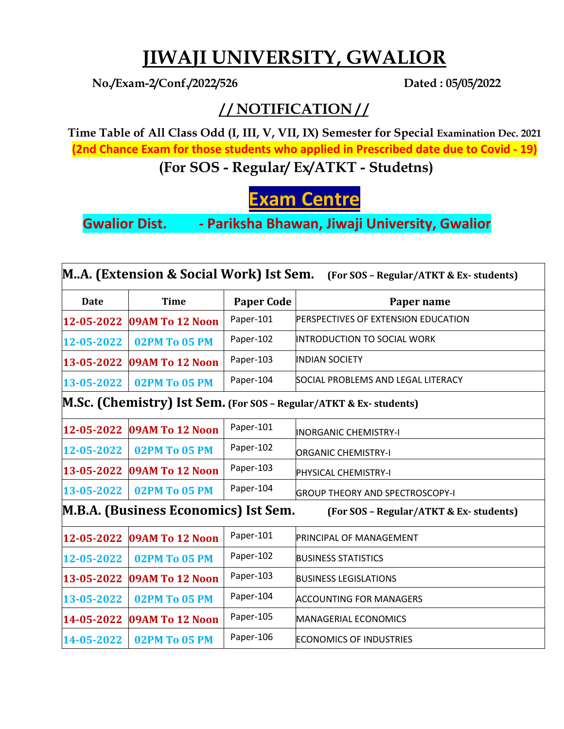## **JIWAJI UNIVERSITY, GWALIOR**

**No./Exam-2/Conf./2022/526 Dated : 05/05/2022**

## **/ / NOTIFICATION / /**

**Time Table of All Class Odd (I, III, V, VII, IX) Semester for Special Examination Dec. 2021 (2nd Chance Exam for those students who applied in Prescribed date due to Covid - 19) (For SOS - Regular/ Ex/ATKT - Studetns)** 

**Exam Centre**

**Gwalior Dist. - Pariksha Bhawan, Jiwaji University, Gwalior**

| MA. (Extension & Social Work) Ist Sem.<br>(For SOS - Regular/ATKT & Ex-students) |                            |                   |                                                                          |
|----------------------------------------------------------------------------------|----------------------------|-------------------|--------------------------------------------------------------------------|
| <b>Date</b>                                                                      | <b>Time</b>                | <b>Paper Code</b> | Paper name                                                               |
| 12-05-2022                                                                       | 09AM To 12 Noon            | Paper-101         | <b>PERSPECTIVES OF EXTENSION EDUCATION</b>                               |
| 12-05-2022                                                                       | <b>02PM To 05 PM</b>       | Paper-102         | <b>INTRODUCTION TO SOCIAL WORK</b>                                       |
| 13-05-2022                                                                       | 09AM To 12 Noon            | Paper-103         | <b>INDIAN SOCIETY</b>                                                    |
| 13-05-2022                                                                       | <b>02PM To 05 PM</b>       | Paper-104         | SOCIAL PROBLEMS AND LEGAL LITERACY                                       |
|                                                                                  |                            |                   | <b>M.Sc. (Chemistry) Ist Sem.</b> (For SOS - Regular/ATKT & Ex-students) |
|                                                                                  | 12-05-2022 09AM To 12 Noon | Paper-101         | <b>INORGANIC CHEMISTRY-I</b>                                             |
| 12-05-2022                                                                       | 02PM To 05 PM              | Paper-102         | ORGANIC CHEMISTRY-I                                                      |
|                                                                                  | 13-05-2022 09AM To 12 Noon | Paper-103         | <b>PHYSICAL CHEMISTRY-I</b>                                              |
| 13-05-2022                                                                       | 02PM To 05 PM              | Paper-104         | <b>GROUP THEORY AND SPECTROSCOPY-I</b>                                   |
| M.B.A. (Business Economics) Ist Sem.<br>(For SOS - Regular/ATKT & Ex-students)   |                            |                   |                                                                          |
| 12-05-2022                                                                       | 09AM To 12 Noon            | Paper-101         | PRINCIPAL OF MANAGEMENT                                                  |
| 12-05-2022                                                                       | 02PM To 05 PM              | Paper-102         | BUSINESS STATISTICS                                                      |
| 13-05-2022                                                                       | 09AM To 12 Noon            | Paper-103         | <b>BUSINESS LEGISLATIONS</b>                                             |
| 13-05-2022                                                                       | <b>02PM To 05 PM</b>       | Paper-104         | <b>ACCOUNTING FOR MANAGERS</b>                                           |
| 14-05-2022                                                                       | 09AM To 12 Noon            | Paper-105         | MANAGERIAL ECONOMICS                                                     |
| 14-05-2022                                                                       | 02PM To 05 PM              | Paper-106         | <b>ECONOMICS OF INDUSTRIES</b>                                           |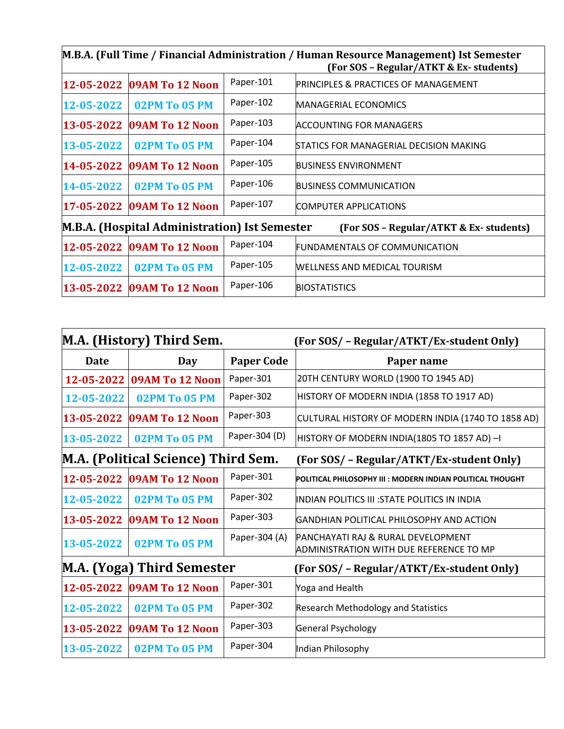| M.B.A. (Full Time / Financial Administration / Human Resource Management) Ist Semester<br>(For SOS - Regular/ATKT & Ex-students) |                            |           |                                                 |
|----------------------------------------------------------------------------------------------------------------------------------|----------------------------|-----------|-------------------------------------------------|
| 12-05-2022                                                                                                                       | 09AM To 12 Noon            | Paper-101 | <b>PRINCIPLES &amp; PRACTICES OF MANAGEMENT</b> |
| 12-05-2022                                                                                                                       | 02PM To 05 PM              | Paper-102 | <b>MANAGERIAL ECONOMICS</b>                     |
| 13-05-2022                                                                                                                       | 09AM To 12 Noon            | Paper-103 | ACCOUNTING FOR MANAGERS                         |
| 13-05-2022                                                                                                                       | 02PM To 05 PM              | Paper-104 | <b>ISTATICS FOR MANAGERIAL DECISION MAKING</b>  |
| 14-05-2022                                                                                                                       | 09AM To 12 Noon            | Paper-105 | <b>BUSINESS ENVIRONMENT</b>                     |
| 14-05-2022                                                                                                                       | 02PM To 05 PM              | Paper-106 | <b>BUSINESS COMMUNICATION</b>                   |
|                                                                                                                                  | 17-05-2022 09AM To 12 Noon | Paper-107 | <b>COMPUTER APPLICATIONS</b>                    |
| M.B.A. (Hospital Administration) Ist Semester<br>(For SOS – Regular/ATKT & Ex-students)                                          |                            |           |                                                 |
|                                                                                                                                  | 12-05-2022 09AM To 12 Noon | Paper-104 | <b>FUNDAMENTALS OF COMMUNICATION</b>            |
| 12-05-2022                                                                                                                       | 02PM To 05 PM              | Paper-105 | <b>WELLNESS AND MEDICAL TOURISM</b>             |
|                                                                                                                                  | 13-05-2022 09AM To 12 Noon | Paper-106 | <b>BIOSTATISTICS</b>                            |

|                                     | M.A. (History) Third Sem. |                   | (For SOS/ - Regular/ATKT/Ex-student Only)                                                       |
|-------------------------------------|---------------------------|-------------------|-------------------------------------------------------------------------------------------------|
| <b>Date</b>                         | Day                       | <b>Paper Code</b> | Paper name                                                                                      |
| 12-05-2022                          | 09AM To 12 Noon           | Paper-301         | 20TH CENTURY WORLD (1900 TO 1945 AD)                                                            |
| 12-05-2022                          | 02PM To 05 PM             | Paper-302         | HISTORY OF MODERN INDIA (1858 TO 1917 AD)                                                       |
| 13-05-2022                          | 09AM To 12 Noon           | Paper-303         | CULTURAL HISTORY OF MODERN INDIA (1740 TO 1858 AD)                                              |
| 13-05-2022                          | <b>02PM To 05 PM</b>      | Paper-304 (D)     | HISTORY OF MODERN INDIA(1805 TO 1857 AD) -I                                                     |
| M.A. (Political Science) Third Sem. |                           |                   | (For SOS/ - Regular/ATKT/Ex-student Only)                                                       |
| 12-05-2022                          | 09AM To 12 Noon           | Paper-301         | <b>POLITICAL PHILOSOPHY III : MODERN INDIAN POLITICAL THOUGHT</b>                               |
| 12-05-2022                          | <b>02PM To 05 PM</b>      | Paper-302         | INDIAN POLITICS III : STATE POLITICS IN INDIA                                                   |
| 13-05-2022                          | 09AM To 12 Noon           | Paper-303         | IGANDHIAN POLITICAL PHILOSOPHY AND ACTION                                                       |
| 13-05-2022                          | 02PM To 05 PM             | Paper-304 (A)     | <b>PANCHAYATI RAJ &amp; RURAL DEVELOPMENT</b><br><b>ADMINISTRATION WITH DUE REFERENCE TO MP</b> |
| M.A. (Yoga) Third Semester          |                           |                   | (For SOS/ - Regular/ATKT/Ex-student Only)                                                       |
| 12-05-2022                          | 09AM To 12 Noon           | Paper-301         | Yoga and Health                                                                                 |
| 12-05-2022                          | <b>02PM To 05 PM</b>      | Paper-302         | <b>Research Methodology and Statistics</b>                                                      |
| 13-05-2022                          | 09AM To 12 Noon           | Paper-303         | General Psychology                                                                              |
| 13-05-2022                          | 02PM To 05 PM             | Paper-304         | Indian Philosophy                                                                               |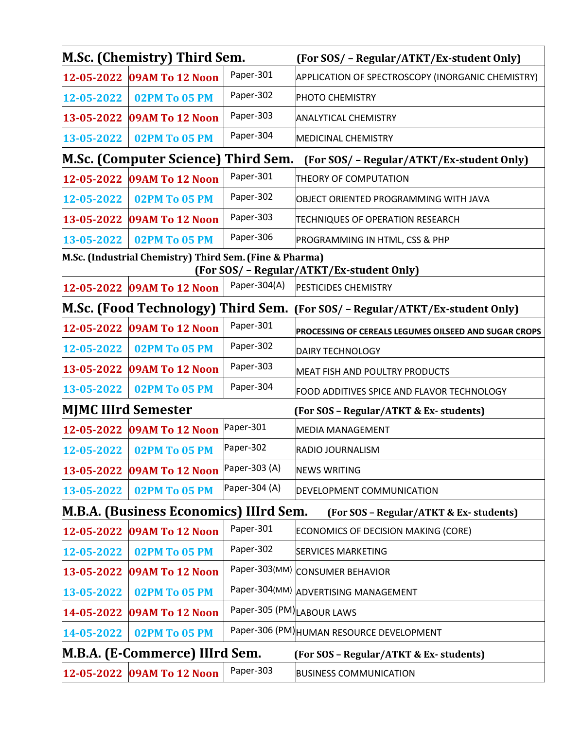|                                                                                                      | M.Sc. (Chemistry) Third Sem.                                                            |                            | (For SOS/ - Regular/ATKT/Ex-student Only)                                    |  |  |
|------------------------------------------------------------------------------------------------------|-----------------------------------------------------------------------------------------|----------------------------|------------------------------------------------------------------------------|--|--|
|                                                                                                      | 12-05-2022 09AM To 12 Noon                                                              | Paper-301                  | APPLICATION OF SPECTROSCOPY (INORGANIC CHEMISTRY)                            |  |  |
|                                                                                                      | 12-05-2022   02PM To 05 PM                                                              | Paper-302                  | <b>PHOTO CHEMISTRY</b>                                                       |  |  |
| 13-05-2022                                                                                           | 09AM To 12 Noon                                                                         | Paper-303                  | <b>ANALYTICAL CHEMISTRY</b>                                                  |  |  |
| 13-05-2022                                                                                           | <b>02PM To 05 PM</b>                                                                    | Paper-304                  | MEDICINAL CHEMISTRY                                                          |  |  |
|                                                                                                      | <b>M.Sc. (Computer Science) Third Sem.</b>                                              |                            | (For SOS/ - Regular/ATKT/Ex-student Only)                                    |  |  |
| 12-05-2022                                                                                           | 09AM To 12 Noon                                                                         | Paper-301                  | THEORY OF COMPUTATION                                                        |  |  |
| 12-05-2022                                                                                           | <b>02PM To 05 PM</b>                                                                    | Paper-302                  | OBJECT ORIENTED PROGRAMMING WITH JAVA                                        |  |  |
|                                                                                                      | 13-05-2022 09AM To 12 Noon                                                              | Paper-303                  | TECHNIQUES OF OPERATION RESEARCH                                             |  |  |
| 13-05-2022                                                                                           | 02PM To 05 PM                                                                           | Paper-306                  | PROGRAMMING IN HTML, CSS & PHP                                               |  |  |
| M.Sc. (Industrial Chemistry) Third Sem. (Fine & Pharma)<br>(For SOS/ - Regular/ATKT/Ex-student Only) |                                                                                         |                            |                                                                              |  |  |
|                                                                                                      | 12-05-2022 09AM To 12 Noon                                                              | Paper-304(A)               | <b>PESTICIDES CHEMISTRY</b>                                                  |  |  |
|                                                                                                      |                                                                                         |                            | M.Sc. (Food Technology) Third Sem. (For SOS/ - Regular/ATKT/Ex-student Only) |  |  |
|                                                                                                      | 12-05-2022 09AM To 12 Noon                                                              | Paper-301                  | PROCESSING OF CEREALS LEGUMES OILSEED AND SUGAR CROPS                        |  |  |
| 12-05-2022                                                                                           | 02PM To 05 PM                                                                           | Paper-302                  | DAIRY TECHNOLOGY                                                             |  |  |
| 13-05-2022                                                                                           | 09AM To 12 Noon                                                                         | Paper-303                  | <b>MEAT FISH AND POULTRY PRODUCTS</b>                                        |  |  |
| 13-05-2022                                                                                           | 02PM To 05 PM                                                                           | Paper-304                  | FOOD ADDITIVES SPICE AND FLAVOR TECHNOLOGY                                   |  |  |
| MJMC IIIrd Semester                                                                                  |                                                                                         |                            | (For SOS - Regular/ATKT & Ex-students)                                       |  |  |
|                                                                                                      | 12-05-2022 09AM To 12 Noon                                                              | Paper-301                  | <b>MEDIA MANAGEMENT</b>                                                      |  |  |
| 12-05-2022                                                                                           | <b>02PM To 05 PM</b>                                                                    | Paper-302                  | RADIO JOURNALISM                                                             |  |  |
|                                                                                                      | 13-05-2022 09AM To 12 Noon                                                              | Paper-303 (A)              | <b>NEWS WRITING</b>                                                          |  |  |
| 13-05-2022                                                                                           | <b>02PM To 05 PM</b>                                                                    | Paper-304 (A)              | DEVELOPMENT COMMUNICATION                                                    |  |  |
|                                                                                                      | <b>M.B.A. (Business Economics) IIIrd Sem.</b><br>(For SOS - Regular/ATKT & Ex-students) |                            |                                                                              |  |  |
| 12-05-2022                                                                                           | 09AM To 12 Noon                                                                         | Paper-301                  | ECONOMICS OF DECISION MAKING (CORE)                                          |  |  |
| 12-05-2022                                                                                           | <b>02PM To 05 PM</b>                                                                    | Paper-302                  | <b>SERVICES MARKETING</b>                                                    |  |  |
| 13-05-2022                                                                                           | 09AM To 12 Noon                                                                         |                            | Paper-303(MM) CONSUMER BEHAVIOR                                              |  |  |
| 13-05-2022                                                                                           | 02PM To 05 PM                                                                           |                            | Paper-304(MM) ADVERTISING MANAGEMENT                                         |  |  |
| 14-05-2022                                                                                           | 09AM To 12 Noon                                                                         | Paper-305 (PM) LABOUR LAWS |                                                                              |  |  |
| 14-05-2022                                                                                           | 02PM To 05 PM                                                                           |                            | Paper-306 (PM) HUMAN RESOURCE DEVELOPMENT                                    |  |  |
|                                                                                                      | M.B.A. (E-Commerce) IIIrd Sem.                                                          |                            | (For SOS - Regular/ATKT & Ex-students)                                       |  |  |
|                                                                                                      | 12-05-2022 09AM To 12 Noon                                                              | Paper-303                  | <b>BUSINESS COMMUNICATION</b>                                                |  |  |